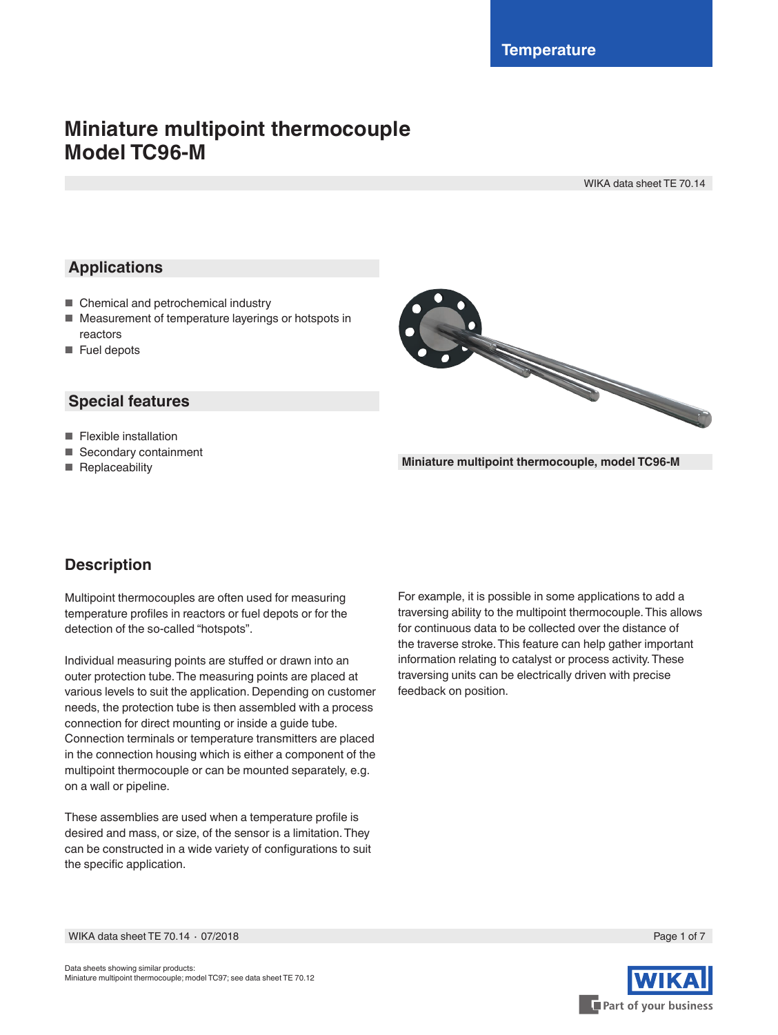# **Miniature multipoint thermocouple Model TC96-M**

WIKA data sheet TE 70.14

# **Applications**

- Chemical and petrochemical industry
- Measurement of temperature layerings or hotspots in reactors
- Fuel depots

### **Special features**

- Flexible installation
- Secondary containment
- Replaceability



**Miniature multipoint thermocouple, model TC96-M**

# **Description**

Multipoint thermocouples are often used for measuring temperature profiles in reactors or fuel depots or for the detection of the so-called "hotspots".

Individual measuring points are stuffed or drawn into an outer protection tube. The measuring points are placed at various levels to suit the application. Depending on customer needs, the protection tube is then assembled with a process connection for direct mounting or inside a guide tube. Connection terminals or temperature transmitters are placed in the connection housing which is either a component of the multipoint thermocouple or can be mounted separately, e.g. on a wall or pipeline.

These assemblies are used when a temperature profile is desired and mass, or size, of the sensor is a limitation. They can be constructed in a wide variety of configurations to suit the specific application.

For example, it is possible in some applications to add a traversing ability to the multipoint thermocouple. This allows for continuous data to be collected over the distance of the traverse stroke. This feature can help gather important information relating to catalyst or process activity. These traversing units can be electrically driven with precise feedback on position.

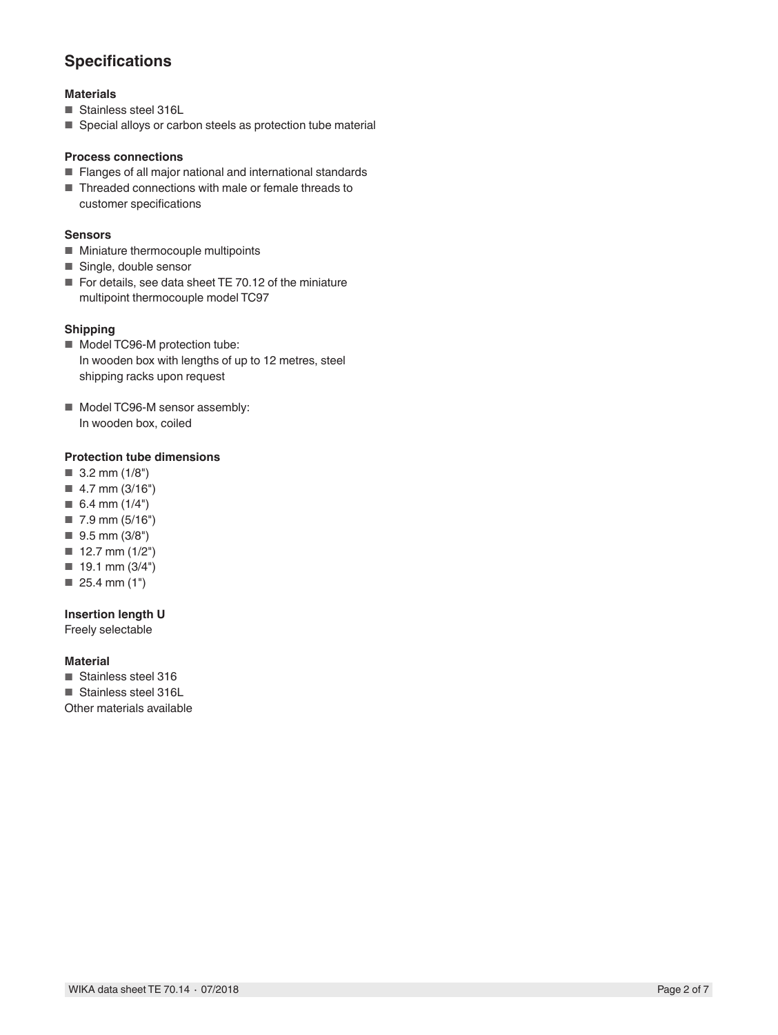# **Specifications**

### **Materials**

- Stainless steel 316L
- Special alloys or carbon steels as protection tube material

#### **Process connections**

- Flanges of all major national and international standards
- Threaded connections with male or female threads to customer specifications

### **Sensors**

- Miniature thermocouple multipoints
- Single, double sensor
- For details, see data sheet TE 70.12 of the miniature multipoint thermocouple model TC97

### **Shipping**

- Model TC96-M protection tube: In wooden box with lengths of up to 12 metres, steel shipping racks upon request
- Model TC96-M sensor assembly: In wooden box, coiled

### **Protection tube dimensions**

- 3.2 mm (1/8")
- 4.7 mm (3/16")
- $\blacksquare$  6.4 mm (1/4")
- 7.9 mm (5/16")
- 9.5 mm (3/8")
- 12.7 mm (1/2")
- 19.1 mm (3/4")
- 25.4 mm (1")

### **Insertion length U**

Freely selectable

### **Material**

- Stainless steel 316
- Stainless steel 316L

Other materials available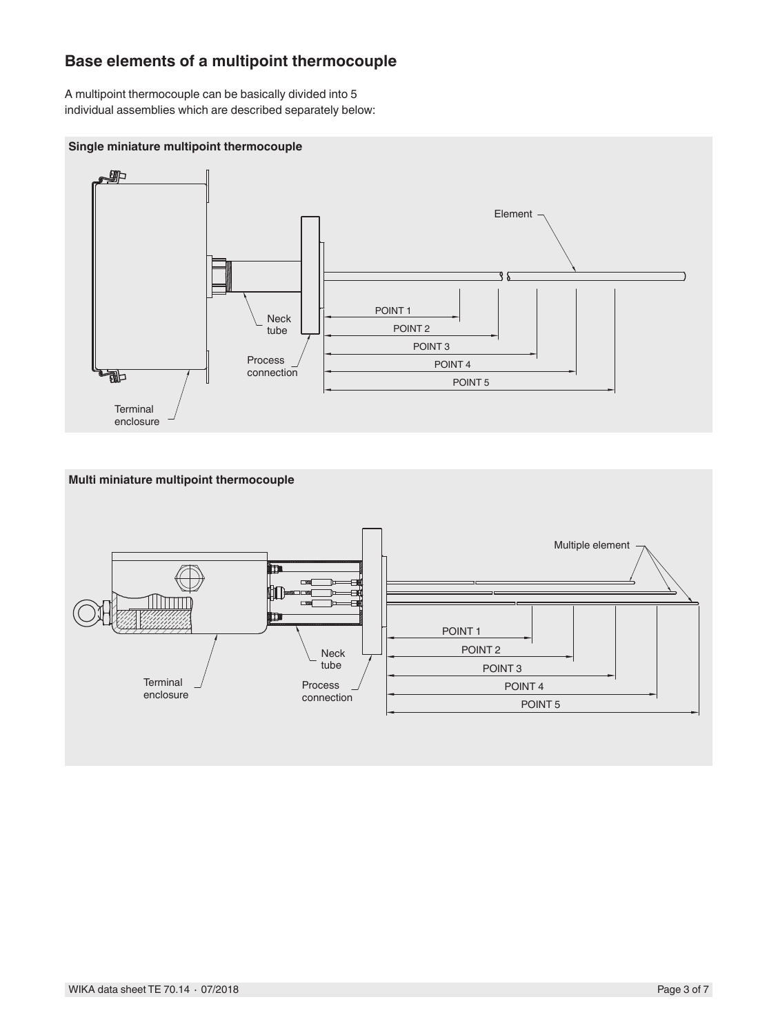## **Base elements of a multipoint thermocouple**

A multipoint thermocouple can be basically divided into 5 individual assemblies which are described separately below:

### **Single miniature multipoint thermocouple**



### **Multi miniature multipoint thermocouple**

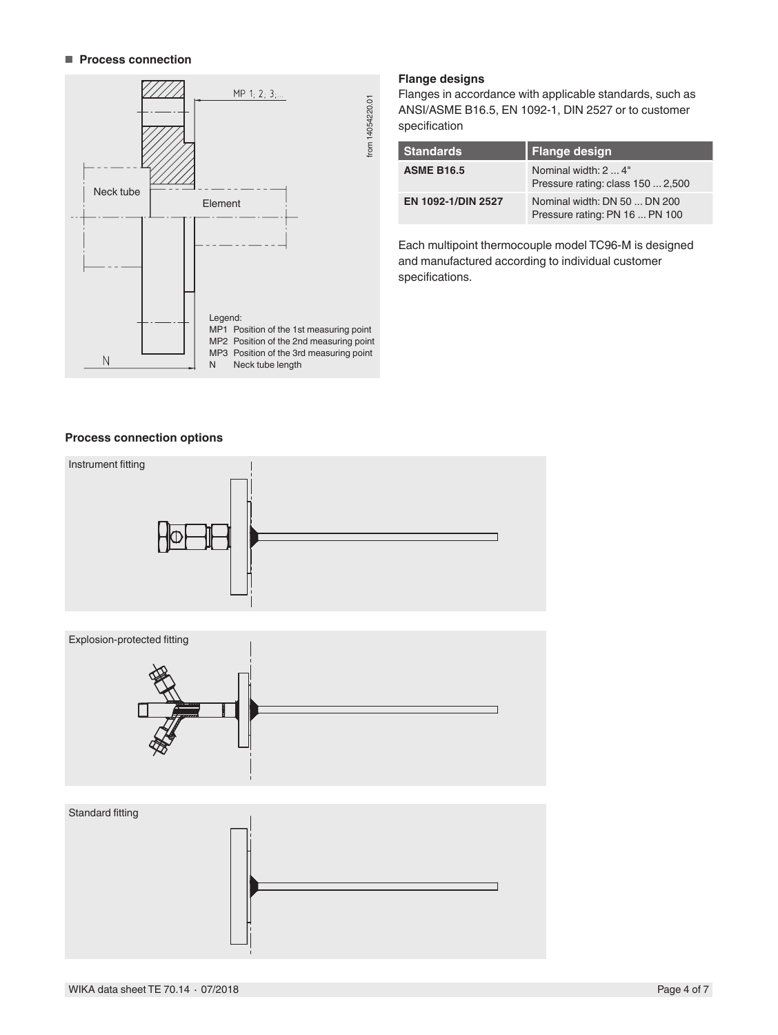#### ■ **Process connection**



### **Flange designs**

Flanges in accordance with applicable standards, such as ANSI/ASME B16.5, EN 1092-1, DIN 2527 or to customer specification

| <b>Standards</b>   | <b>Flange design</b>                                           |
|--------------------|----------------------------------------------------------------|
| <b>ASME B16.5</b>  | Nominal width: 2  4"<br>Pressure rating: class 150  2,500      |
| EN 1092-1/DIN 2527 | Nominal width: DN 50  DN 200<br>Pressure rating: PN 16  PN 100 |

Each multipoint thermocouple model TC96-M is designed and manufactured according to individual customer specifications.

#### **Process connection options**

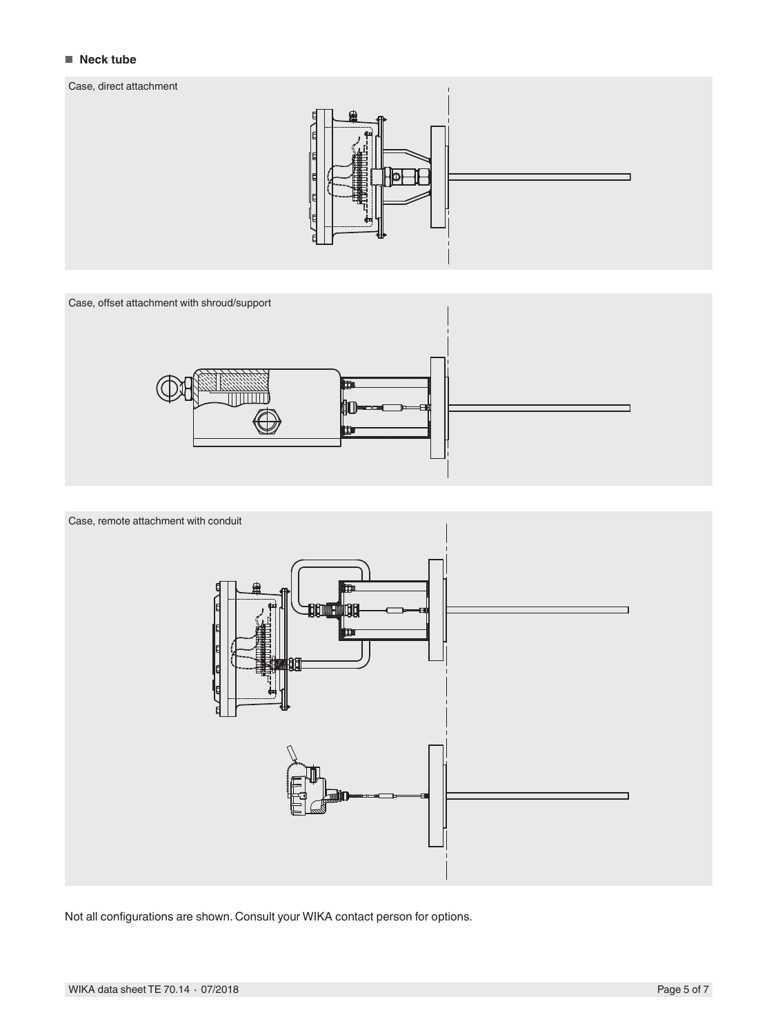#### ■ **Neck tube** Enclosure, direct attachment

#### Case, direct attachment







Not all configurations are shown. Consult your WIKA contact person for options.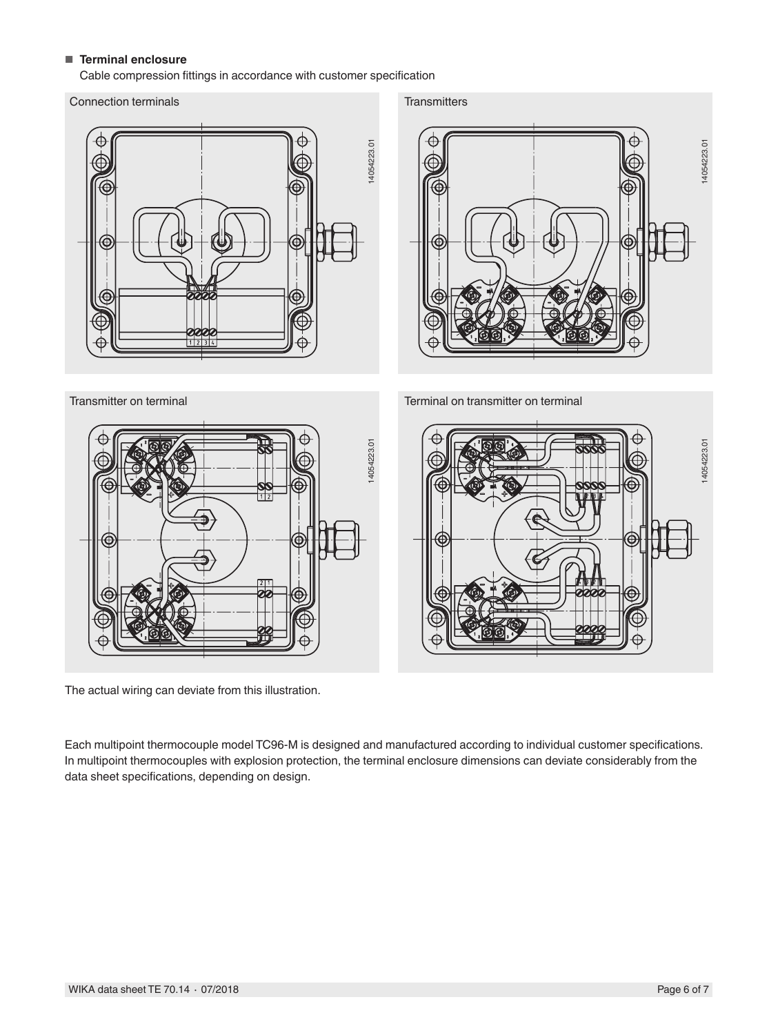### ■ **Terminal enclosure**

Cable compression fittings in accordance with customer specification

Connection terminals



**Transmitters** 



Terminal on transmitter on terminal



The actual wiring can deviate from this illustration.

Each multipoint thermocouple model TC96-M is designed and manufactured according to individual customer specifications. In multipoint thermocouples with explosion protection, the terminal enclosure dimensions can deviate considerably from the data sheet specifications, depending on design.